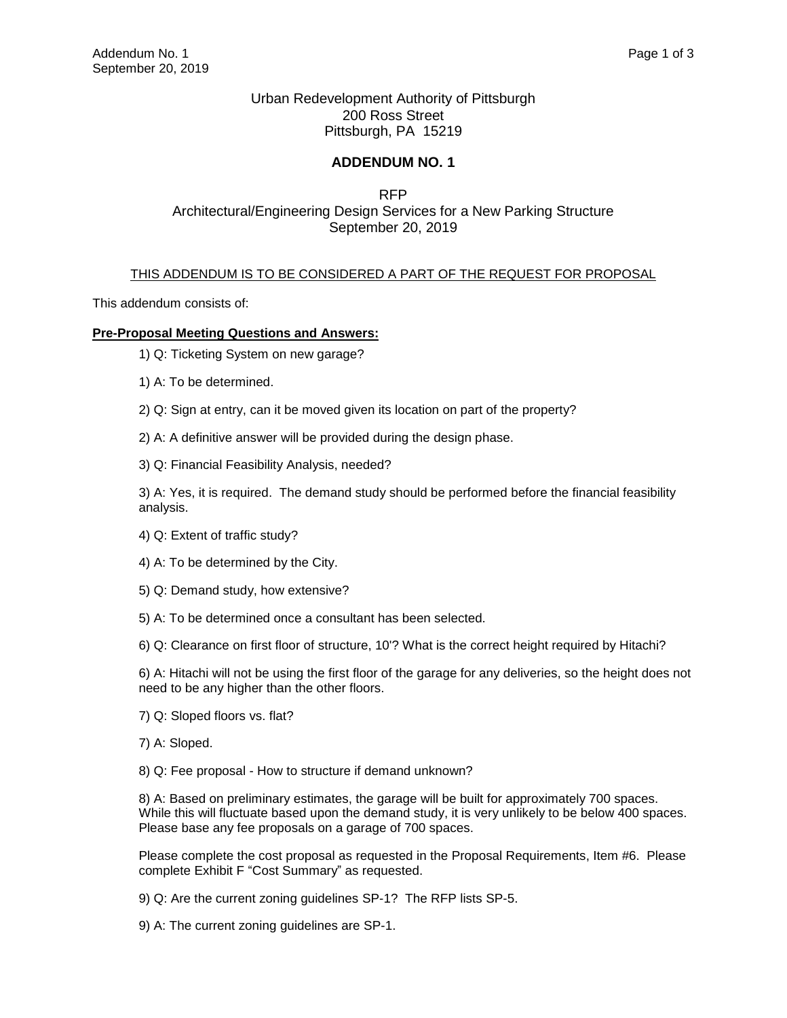## Urban Redevelopment Authority of Pittsburgh 200 Ross Street Pittsburgh, PA 15219

## **ADDENDUM NO. 1**

## RFP Architectural/Engineering Design Services for a New Parking Structure September 20, 2019

## THIS ADDENDUM IS TO BE CONSIDERED A PART OF THE REQUEST FOR PROPOSAL

This addendum consists of:

### **Pre-Proposal Meeting Questions and Answers:**

- 1) Q: Ticketing System on new garage?
- 1) A: To be determined.
- 2) Q: Sign at entry, can it be moved given its location on part of the property?

2) A: A definitive answer will be provided during the design phase.

3) Q: Financial Feasibility Analysis, needed?

3) A: Yes, it is required. The demand study should be performed before the financial feasibility analysis.

- 4) Q: Extent of traffic study?
- 4) A: To be determined by the City.
- 5) Q: Demand study, how extensive?
- 5) A: To be determined once a consultant has been selected.

6) Q: Clearance on first floor of structure, 10'? What is the correct height required by Hitachi?

6) A: Hitachi will not be using the first floor of the garage for any deliveries, so the height does not need to be any higher than the other floors.

- 7) Q: Sloped floors vs. flat?
- 7) A: Sloped.
- 8) Q: Fee proposal How to structure if demand unknown?

8) A: Based on preliminary estimates, the garage will be built for approximately 700 spaces. While this will fluctuate based upon the demand study, it is very unlikely to be below 400 spaces. Please base any fee proposals on a garage of 700 spaces.

Please complete the cost proposal as requested in the Proposal Requirements, Item #6. Please complete Exhibit F "Cost Summary" as requested.

- 9) Q: Are the current zoning guidelines SP-1? The RFP lists SP-5.
- 9) A: The current zoning guidelines are SP-1.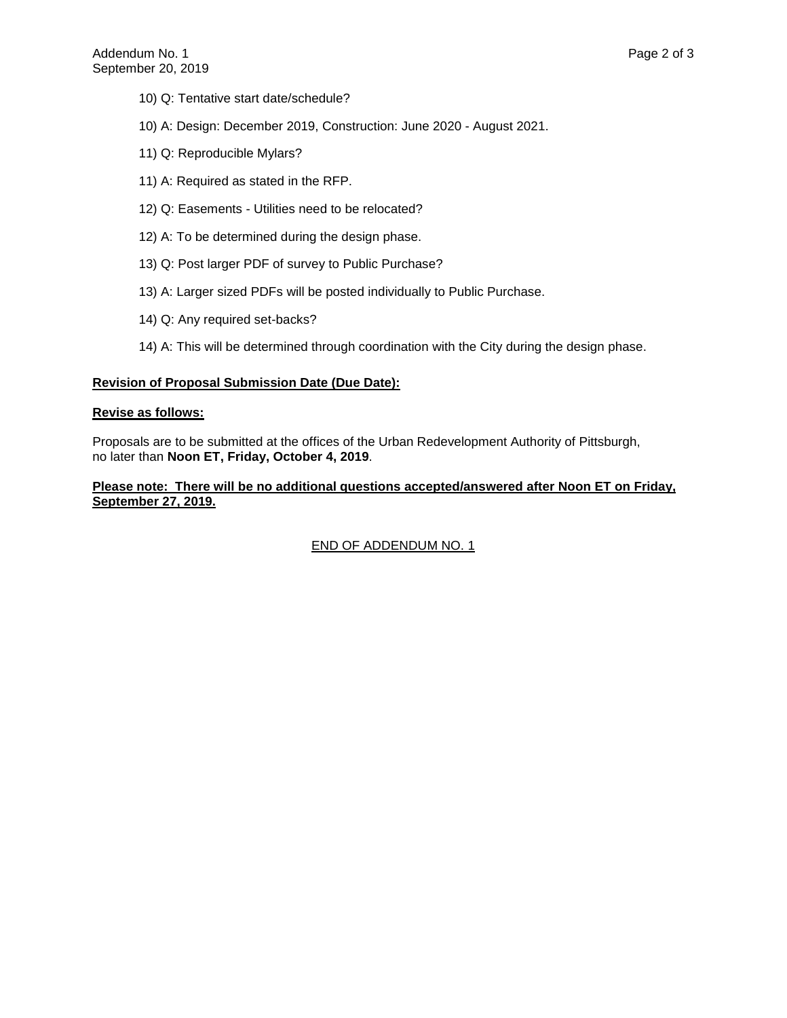- 10) Q: Tentative start date/schedule?
- 10) A: Design: December 2019, Construction: June 2020 August 2021.
- 11) Q: Reproducible Mylars?
- 11) A: Required as stated in the RFP.
- 12) Q: Easements Utilities need to be relocated?
- 12) A: To be determined during the design phase.
- 13) Q: Post larger PDF of survey to Public Purchase?
- 13) A: Larger sized PDFs will be posted individually to Public Purchase.
- 14) Q: Any required set-backs?
- 14) A: This will be determined through coordination with the City during the design phase.

#### **Revision of Proposal Submission Date (Due Date):**

#### **Revise as follows:**

Proposals are to be submitted at the offices of the Urban Redevelopment Authority of Pittsburgh, no later than **Noon ET, Friday, October 4, 2019**.

### **Please note: There will be no additional questions accepted/answered after Noon ET on Friday, September 27, 2019.**

## END OF ADDENDUM NO. 1